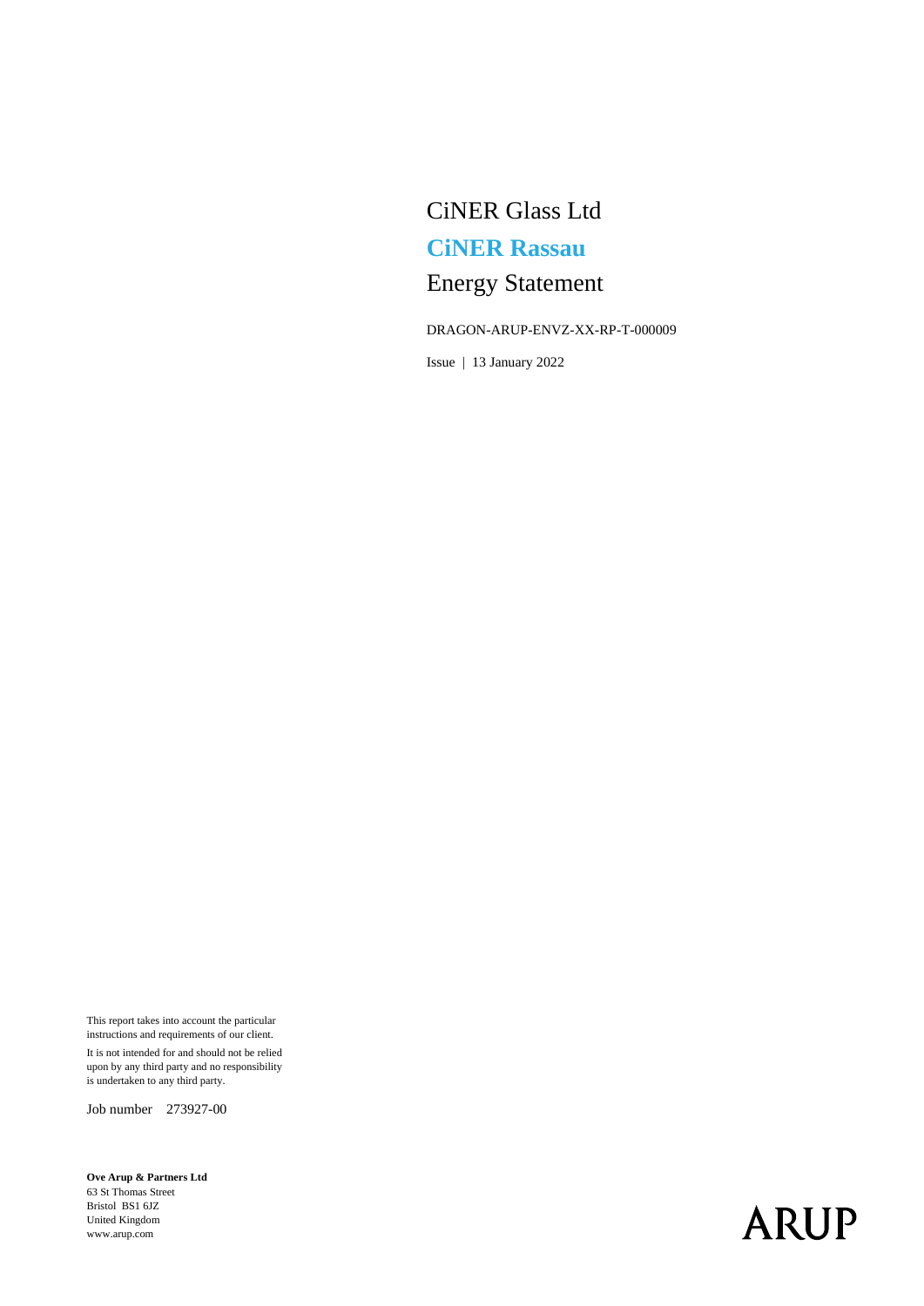# CiNER Glass Ltd **CiNER Rassau** Energy Statement

#### DRAGON-ARUP-ENVZ-XX-RP-T-000009

Issue | 13 January 2022

This report takes into account the particular instructions and requirements of our client. It is not intended for and should not be relied upon by any third party and no responsibility is undertaken to any third party.

Job number 273927-00

**Ove Arup & Partners Ltd** 63 St Thomas Street Bristol BS1 6JZ United Kingdom www.arup.com

# **ARUP**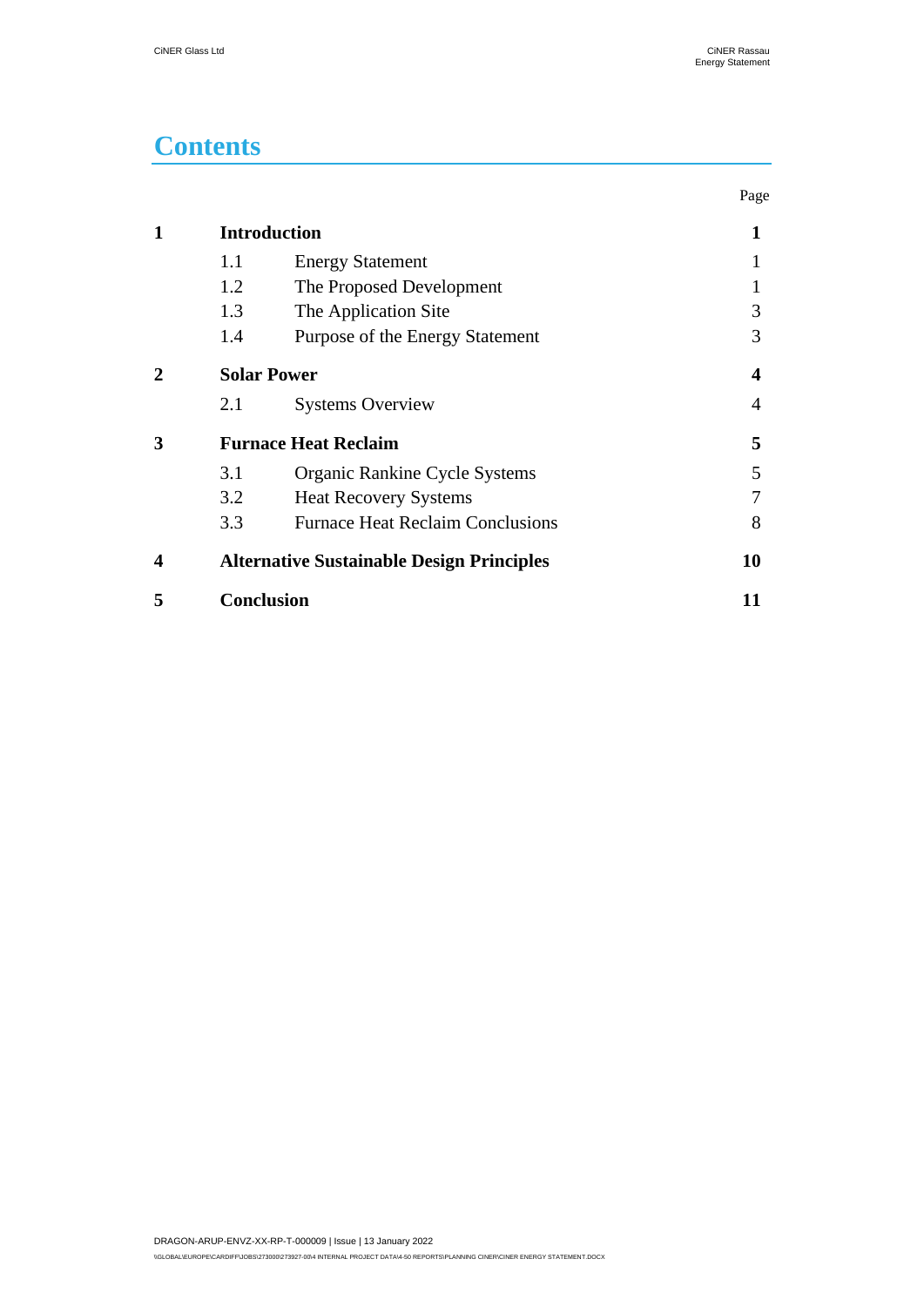### **Contents**

|                  |                                                  |                                         | Page |
|------------------|--------------------------------------------------|-----------------------------------------|------|
| 1                | <b>Introduction</b>                              | 1                                       |      |
|                  | 1.1                                              | <b>Energy Statement</b>                 |      |
|                  | 1.2                                              | The Proposed Development                |      |
|                  | 1.3                                              | The Application Site                    | 3    |
|                  | 1.4                                              | Purpose of the Energy Statement         | 3    |
| 2                | <b>Solar Power</b>                               | 4                                       |      |
|                  | 2.1                                              | <b>Systems Overview</b>                 | 4    |
| 3                | <b>Furnace Heat Reclaim</b>                      | 5                                       |      |
|                  | 3.1                                              | Organic Rankine Cycle Systems           | 5    |
|                  | 3.2                                              | <b>Heat Recovery Systems</b>            |      |
|                  | 3.3                                              | <b>Furnace Heat Reclaim Conclusions</b> | 8    |
| $\boldsymbol{4}$ | <b>Alternative Sustainable Design Principles</b> |                                         | 10   |
| 5                | <b>Conclusion</b>                                |                                         | 11   |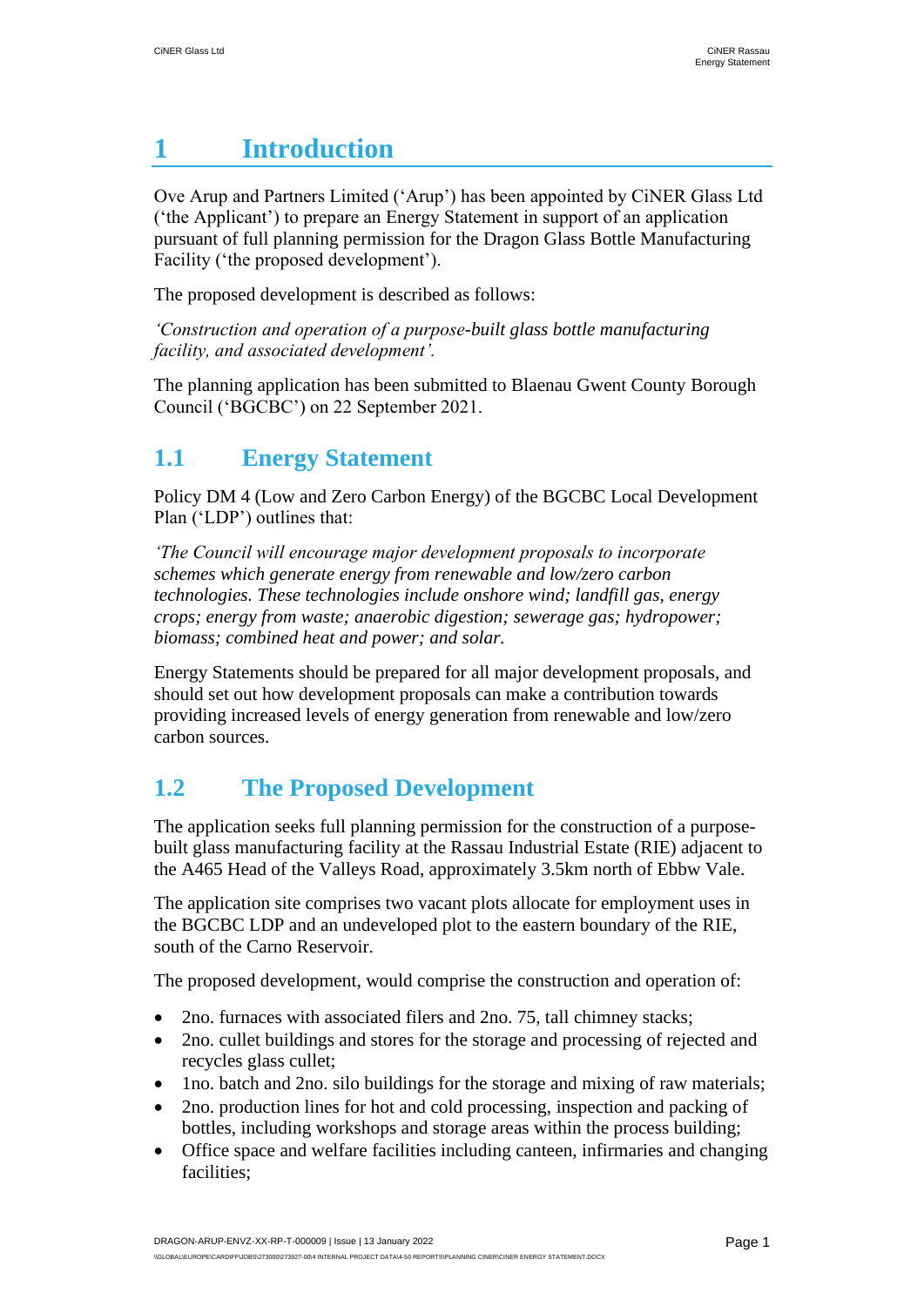## <span id="page-2-0"></span>**1 Introduction**

Ove Arup and Partners Limited ('Arup') has been appointed by CiNER Glass Ltd ('the Applicant') to prepare an Energy Statement in support of an application pursuant of full planning permission for the Dragon Glass Bottle Manufacturing Facility ('the proposed development').

The proposed development is described as follows:

*'Construction and operation of a purpose-built glass bottle manufacturing facility, and associated development'.*

The planning application has been submitted to Blaenau Gwent County Borough Council ('BGCBC') on 22 September 2021.

### <span id="page-2-1"></span>**1.1 Energy Statement**

Policy DM 4 (Low and Zero Carbon Energy) of the BGCBC Local Development Plan ('LDP') outlines that:

*'The Council will encourage major development proposals to incorporate schemes which generate energy from renewable and low/zero carbon technologies. These technologies include onshore wind; landfill gas, energy crops; energy from waste; anaerobic digestion; sewerage gas; hydropower; biomass; combined heat and power; and solar.*

Energy Statements should be prepared for all major development proposals, and should set out how development proposals can make a contribution towards providing increased levels of energy generation from renewable and low/zero carbon sources.

### <span id="page-2-2"></span>**1.2 The Proposed Development**

The application seeks full planning permission for the construction of a purposebuilt glass manufacturing facility at the Rassau Industrial Estate (RIE) adjacent to the A465 Head of the Valleys Road, approximately 3.5km north of Ebbw Vale.

The application site comprises two vacant plots allocate for employment uses in the BGCBC LDP and an undeveloped plot to the eastern boundary of the RIE, south of the Carno Reservoir.

The proposed development, would comprise the construction and operation of:

- 2no. furnaces with associated filers and 2no. 75, tall chimney stacks;
- 2no. cullet buildings and stores for the storage and processing of rejected and recycles glass cullet;
- 1no. batch and 2no. silo buildings for the storage and mixing of raw materials;
- 2no. production lines for hot and cold processing, inspection and packing of bottles, including workshops and storage areas within the process building;
- Office space and welfare facilities including canteen, infirmaries and changing facilities;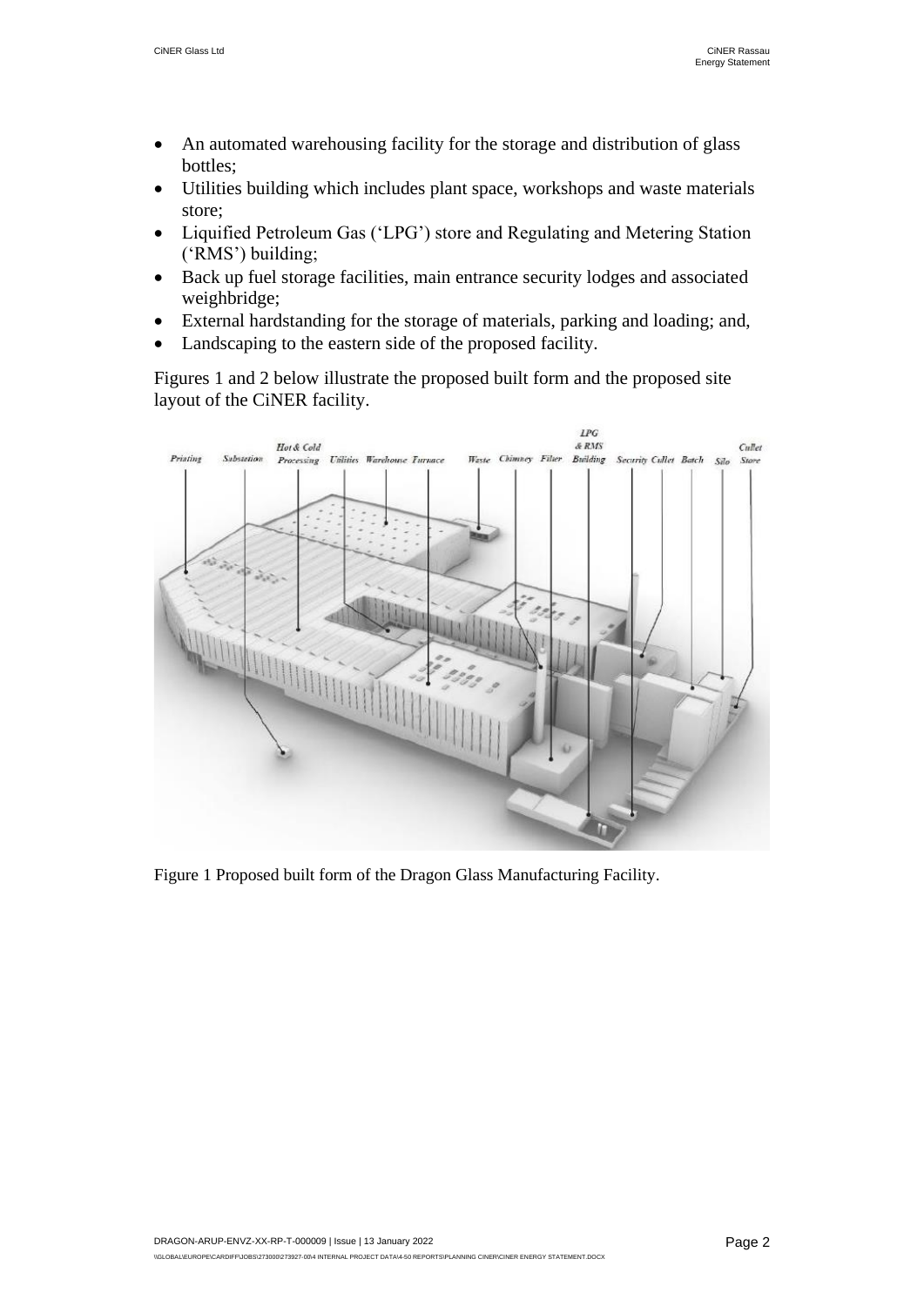- An automated warehousing facility for the storage and distribution of glass bottles;
- Utilities building which includes plant space, workshops and waste materials store;
- Liquified Petroleum Gas ('LPG') store and Regulating and Metering Station ('RMS') building;
- Back up fuel storage facilities, main entrance security lodges and associated weighbridge;
- External hardstanding for the storage of materials, parking and loading; and,
- Landscaping to the eastern side of the proposed facility.

Figures 1 and 2 below illustrate the proposed built form and the proposed site layout of the CiNER facility.



Figure 1 Proposed built form of the Dragon Glass Manufacturing Facility.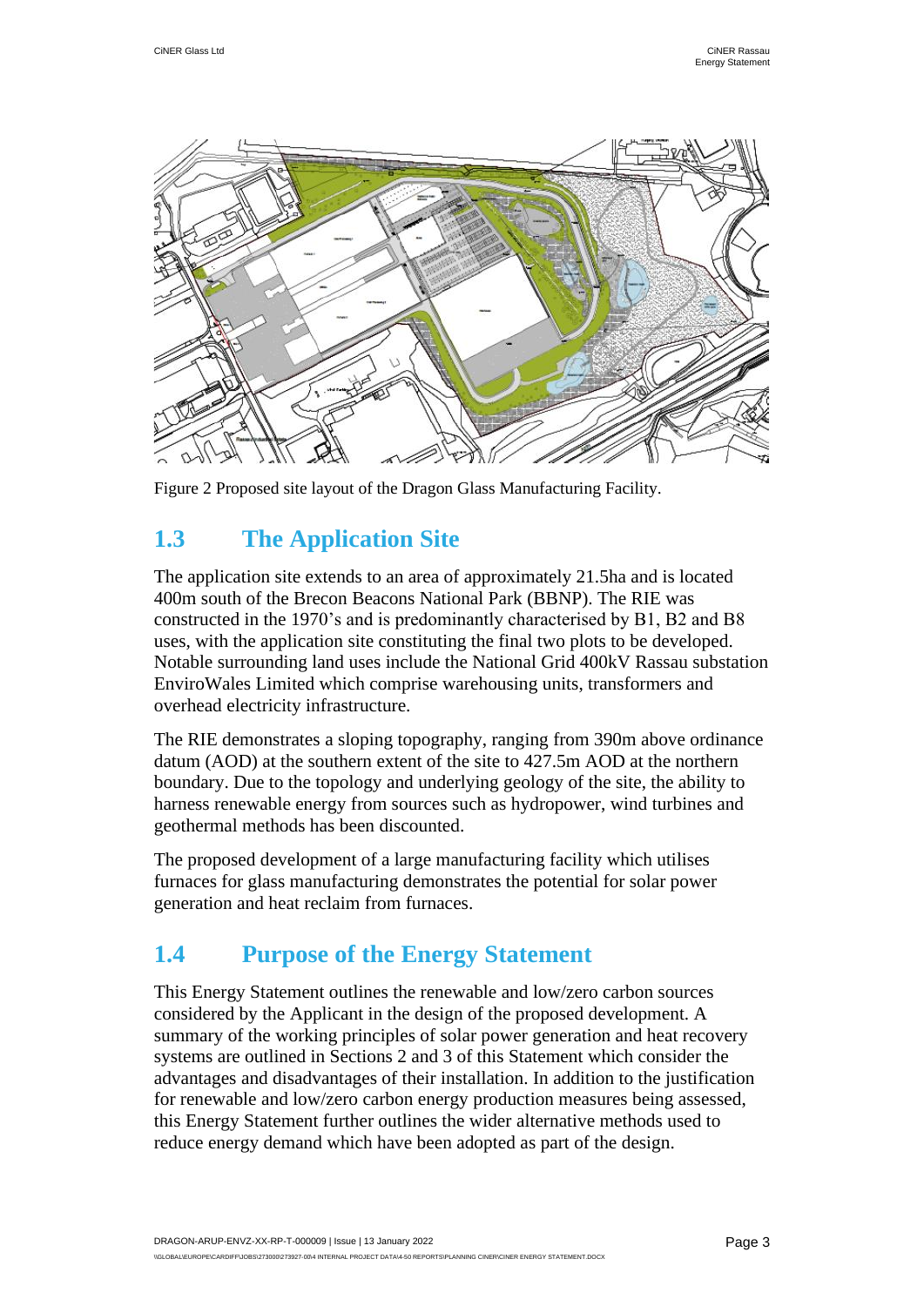

Figure 2 Proposed site layout of the Dragon Glass Manufacturing Facility.

### <span id="page-4-0"></span>**1.3 The Application Site**

The application site extends to an area of approximately 21.5ha and is located 400m south of the Brecon Beacons National Park (BBNP). The RIE was constructed in the 1970's and is predominantly characterised by B1, B2 and B8 uses, with the application site constituting the final two plots to be developed. Notable surrounding land uses include the National Grid 400kV Rassau substation EnviroWales Limited which comprise warehousing units, transformers and overhead electricity infrastructure.

The RIE demonstrates a sloping topography, ranging from 390m above ordinance datum (AOD) at the southern extent of the site to 427.5m AOD at the northern boundary. Due to the topology and underlying geology of the site, the ability to harness renewable energy from sources such as hydropower, wind turbines and geothermal methods has been discounted.

The proposed development of a large manufacturing facility which utilises furnaces for glass manufacturing demonstrates the potential for solar power generation and heat reclaim from furnaces.

### <span id="page-4-1"></span>**1.4 Purpose of the Energy Statement**

This Energy Statement outlines the renewable and low/zero carbon sources considered by the Applicant in the design of the proposed development. A summary of the working principles of solar power generation and heat recovery systems are outlined in Sections 2 and 3 of this Statement which consider the advantages and disadvantages of their installation. In addition to the justification for renewable and low/zero carbon energy production measures being assessed, this Energy Statement further outlines the wider alternative methods used to reduce energy demand which have been adopted as part of the design.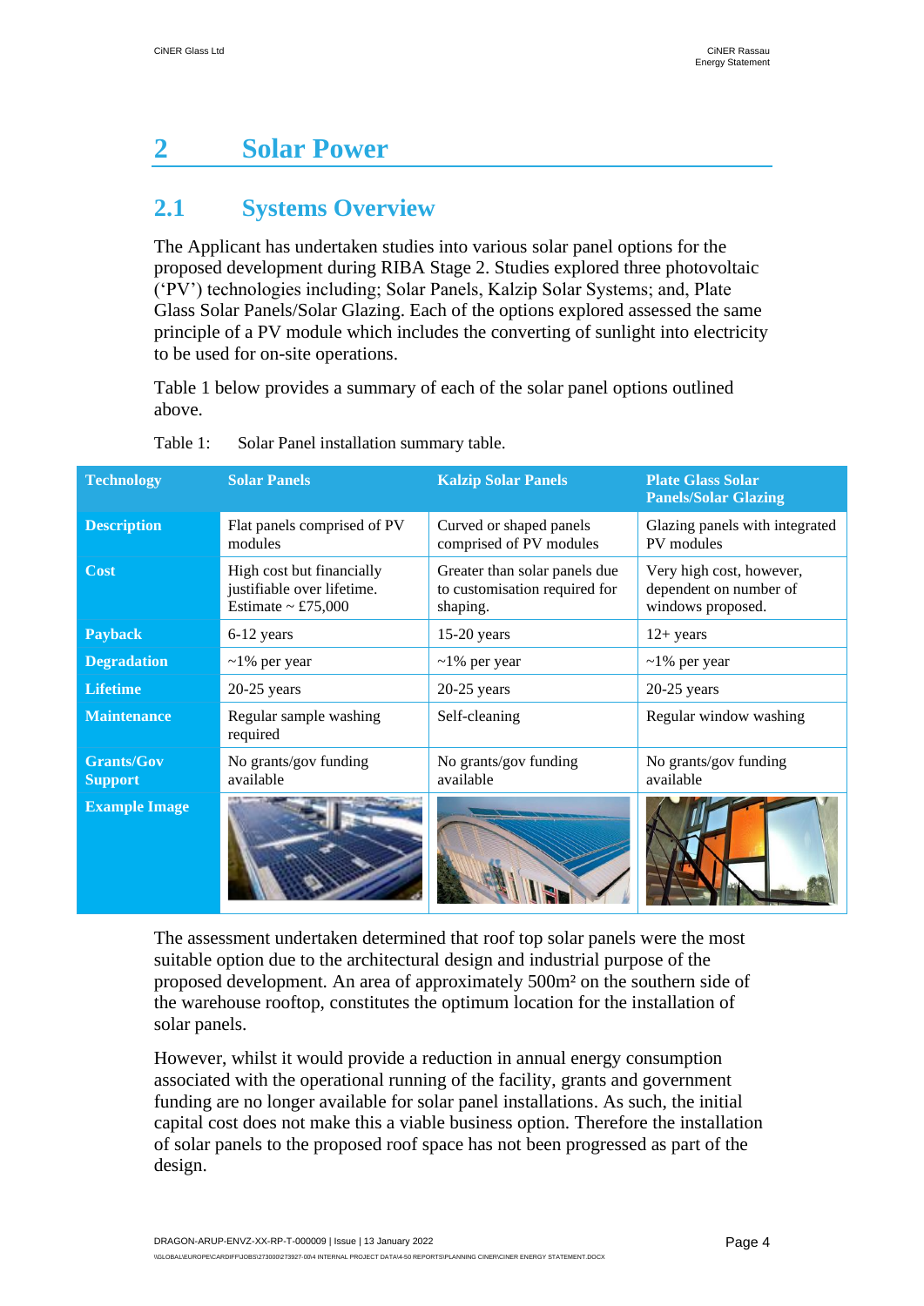# <span id="page-5-0"></span>**2 Solar Power**

### <span id="page-5-1"></span>**2.1 Systems Overview**

The Applicant has undertaken studies into various solar panel options for the proposed development during RIBA Stage 2. Studies explored three photovoltaic ('PV') technologies including; Solar Panels, Kalzip Solar Systems; and, Plate Glass Solar Panels/Solar Glazing. Each of the options explored assessed the same principle of a PV module which includes the converting of sunlight into electricity to be used for on-site operations.

Table 1 below provides a summary of each of the solar panel options outlined above.

| <b>Technology</b>                   | <b>Solar Panels</b>                                                           | <b>Kalzip Solar Panels</b>                                                 | <b>Plate Glass Solar</b><br><b>Panels/Solar Glazing</b>                 |
|-------------------------------------|-------------------------------------------------------------------------------|----------------------------------------------------------------------------|-------------------------------------------------------------------------|
| <b>Description</b>                  | Flat panels comprised of PV<br>modules                                        | Curved or shaped panels<br>comprised of PV modules                         | Glazing panels with integrated<br>PV modules                            |
| Cost                                | High cost but financially<br>justifiable over lifetime.<br>Estimate ~ £75,000 | Greater than solar panels due<br>to customisation required for<br>shaping. | Very high cost, however,<br>dependent on number of<br>windows proposed. |
| <b>Payback</b>                      | 6-12 years                                                                    | $15-20$ years                                                              | $12+ years$                                                             |
| <b>Degradation</b>                  | $\sim$ 1% per year                                                            | $\sim$ 1% per year                                                         | $\sim$ 1% per year                                                      |
| <b>Lifetime</b>                     | $20-25$ years                                                                 | $20-25$ years                                                              | $20-25$ years                                                           |
| <b>Maintenance</b>                  | Regular sample washing<br>required                                            | Self-cleaning                                                              | Regular window washing                                                  |
| <b>Grants/Gov</b><br><b>Support</b> | No grants/gov funding<br>available                                            | No grants/gov funding<br>available                                         | No grants/gov funding<br>available                                      |
| <b>Example Image</b>                |                                                                               |                                                                            |                                                                         |

#### Table 1: Solar Panel installation summary table.

The assessment undertaken determined that roof top solar panels were the most suitable option due to the architectural design and industrial purpose of the proposed development. An area of approximately 500m² on the southern side of the warehouse rooftop, constitutes the optimum location for the installation of solar panels.

However, whilst it would provide a reduction in annual energy consumption associated with the operational running of the facility, grants and government funding are no longer available for solar panel installations. As such, the initial capital cost does not make this a viable business option. Therefore the installation of solar panels to the proposed roof space has not been progressed as part of the design.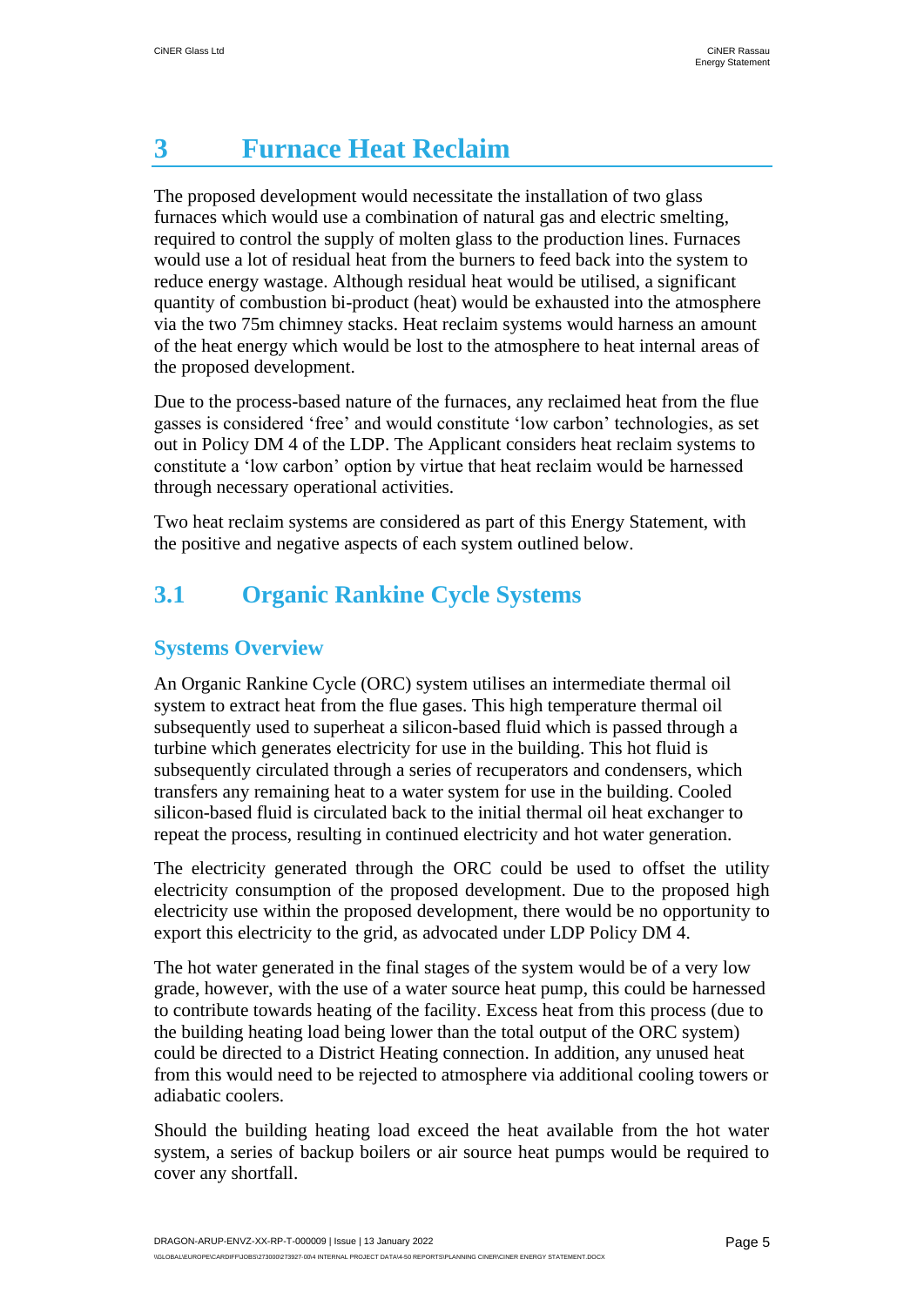# <span id="page-6-0"></span>**3 Furnace Heat Reclaim**

The proposed development would necessitate the installation of two glass furnaces which would use a combination of natural gas and electric smelting, required to control the supply of molten glass to the production lines. Furnaces would use a lot of residual heat from the burners to feed back into the system to reduce energy wastage. Although residual heat would be utilised, a significant quantity of combustion bi-product (heat) would be exhausted into the atmosphere via the two 75m chimney stacks. Heat reclaim systems would harness an amount of the heat energy which would be lost to the atmosphere to heat internal areas of the proposed development.

Due to the process-based nature of the furnaces, any reclaimed heat from the flue gasses is considered 'free' and would constitute 'low carbon' technologies, as set out in Policy DM 4 of the LDP. The Applicant considers heat reclaim systems to constitute a 'low carbon' option by virtue that heat reclaim would be harnessed through necessary operational activities.

Two heat reclaim systems are considered as part of this Energy Statement, with the positive and negative aspects of each system outlined below.

### <span id="page-6-1"></span>**3.1 Organic Rankine Cycle Systems**

#### **Systems Overview**

An Organic Rankine Cycle (ORC) system utilises an intermediate thermal oil system to extract heat from the flue gases. This high temperature thermal oil subsequently used to superheat a silicon-based fluid which is passed through a turbine which generates electricity for use in the building. This hot fluid is subsequently circulated through a series of recuperators and condensers, which transfers any remaining heat to a water system for use in the building. Cooled silicon-based fluid is circulated back to the initial thermal oil heat exchanger to repeat the process, resulting in continued electricity and hot water generation.

The electricity generated through the ORC could be used to offset the utility electricity consumption of the proposed development. Due to the proposed high electricity use within the proposed development, there would be no opportunity to export this electricity to the grid, as advocated under LDP Policy DM 4.

The hot water generated in the final stages of the system would be of a very low grade, however, with the use of a water source heat pump, this could be harnessed to contribute towards heating of the facility. Excess heat from this process (due to the building heating load being lower than the total output of the ORC system) could be directed to a District Heating connection. In addition, any unused heat from this would need to be rejected to atmosphere via additional cooling towers or adiabatic coolers.

Should the building heating load exceed the heat available from the hot water system, a series of backup boilers or air source heat pumps would be required to cover any shortfall.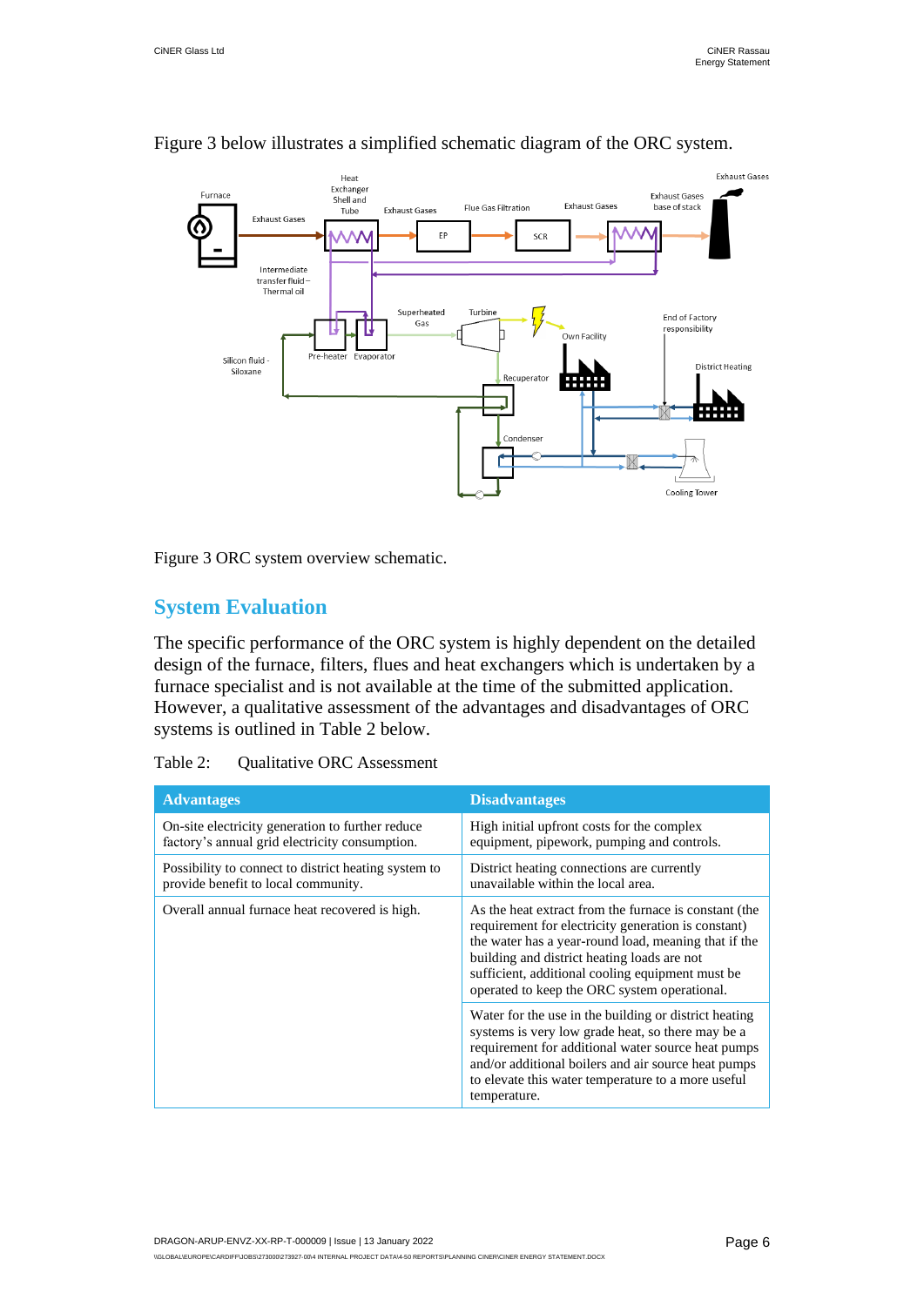

#### Figure 3 below illustrates a simplified schematic diagram of the ORC system.

Figure 3 ORC system overview schematic.

#### **System Evaluation**

The specific performance of the ORC system is highly dependent on the detailed design of the furnace, filters, flues and heat exchangers which is undertaken by a furnace specialist and is not available at the time of the submitted application. However, a qualitative assessment of the advantages and disadvantages of ORC systems is outlined in Table 2 below.

| Table 2: | <b>Qualitative ORC</b> Assessment |
|----------|-----------------------------------|
|----------|-----------------------------------|

| <b>Advantages</b>                                                                                  | <b>Disadvantages</b>                                                                                                                                                                                                                                                                                                    |
|----------------------------------------------------------------------------------------------------|-------------------------------------------------------------------------------------------------------------------------------------------------------------------------------------------------------------------------------------------------------------------------------------------------------------------------|
| On-site electricity generation to further reduce<br>factory's annual grid electricity consumption. | High initial upfront costs for the complex<br>equipment, pipework, pumping and controls.                                                                                                                                                                                                                                |
| Possibility to connect to district heating system to<br>provide benefit to local community.        | District heating connections are currently<br>unavailable within the local area.                                                                                                                                                                                                                                        |
| Overall annual furnace heat recovered is high.                                                     | As the heat extract from the furnace is constant (the<br>requirement for electricity generation is constant)<br>the water has a year-round load, meaning that if the<br>building and district heating loads are not<br>sufficient, additional cooling equipment must be<br>operated to keep the ORC system operational. |
|                                                                                                    | Water for the use in the building or district heating<br>systems is very low grade heat, so there may be a<br>requirement for additional water source heat pumps<br>and/or additional boilers and air source heat pumps<br>to elevate this water temperature to a more useful<br>temperature.                           |

DRAGON-ARUP-ENVZ-XX-RP-T-000009 | Issue | 13 January 2022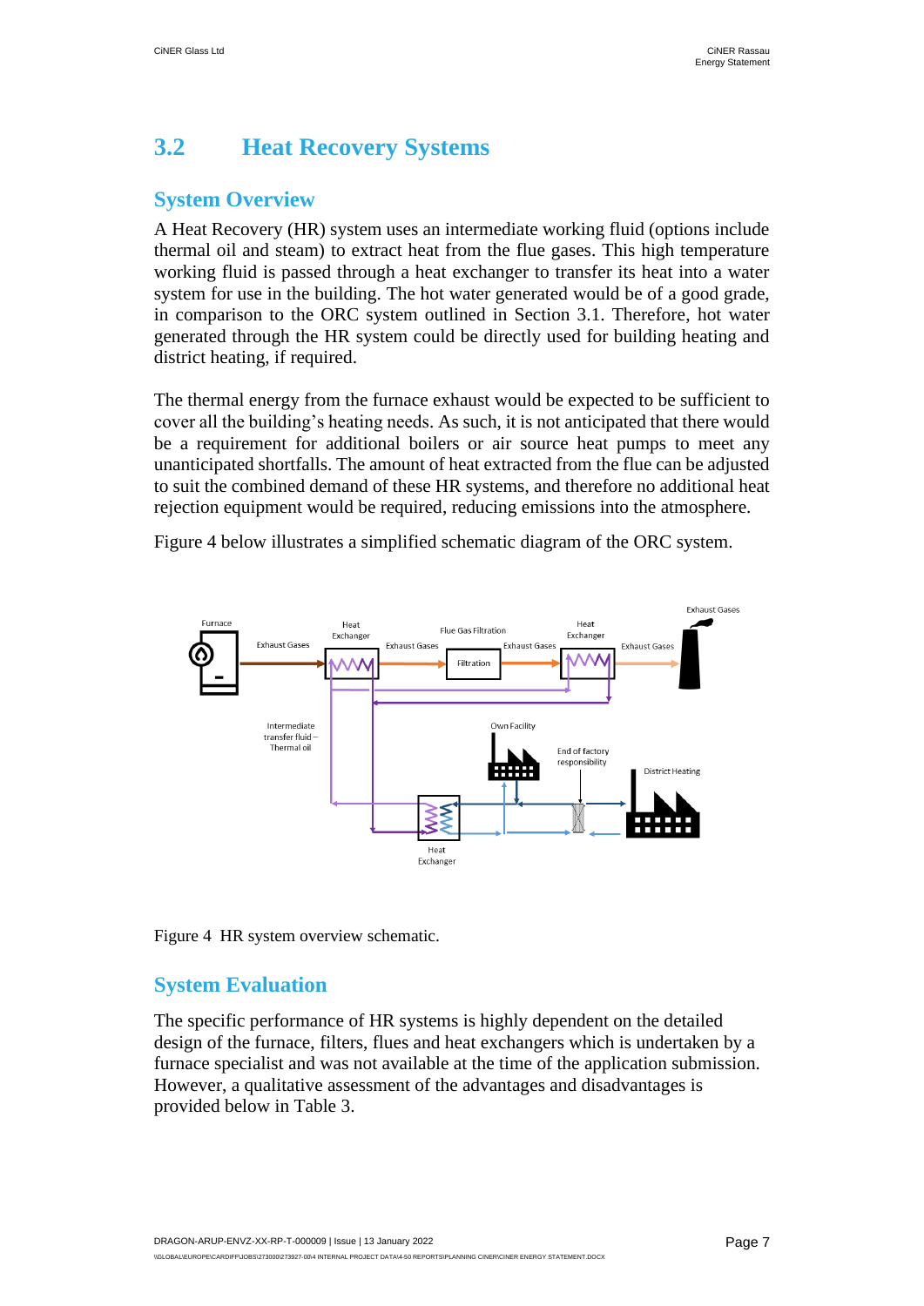### <span id="page-8-0"></span>**3.2 Heat Recovery Systems**

#### **System Overview**

A Heat Recovery (HR) system uses an intermediate working fluid (options include thermal oil and steam) to extract heat from the flue gases. This high temperature working fluid is passed through a heat exchanger to transfer its heat into a water system for use in the building. The hot water generated would be of a good grade, in comparison to the ORC system outlined in Section 3.1. Therefore, hot water generated through the HR system could be directly used for building heating and district heating, if required.

The thermal energy from the furnace exhaust would be expected to be sufficient to cover all the building's heating needs. As such, it is not anticipated that there would be a requirement for additional boilers or air source heat pumps to meet any unanticipated shortfalls. The amount of heat extracted from the flue can be adjusted to suit the combined demand of these HR systems, and therefore no additional heat rejection equipment would be required, reducing emissions into the atmosphere.

Figure 4 below illustrates a simplified schematic diagram of the ORC system.



Figure 4 HR system overview schematic.

#### **System Evaluation**

The specific performance of HR systems is highly dependent on the detailed design of the furnace, filters, flues and heat exchangers which is undertaken by a furnace specialist and was not available at the time of the application submission. However, a qualitative assessment of the advantages and disadvantages is provided below in Table 3.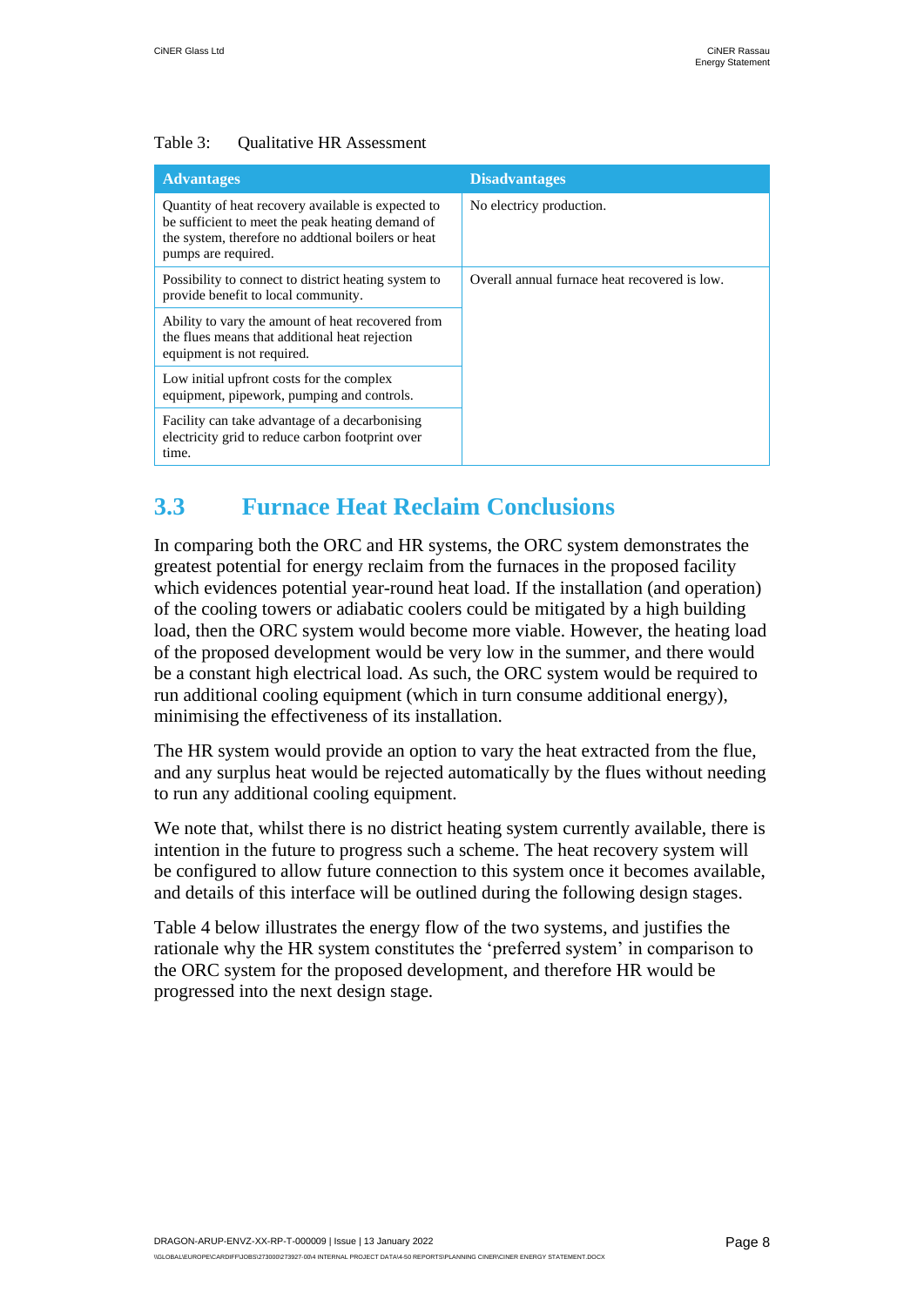#### Table 3: Oualitative HR Assessment

| <b>Advantages</b>                                                                                                                                                                   | <b>Disadvantages</b>                          |
|-------------------------------------------------------------------------------------------------------------------------------------------------------------------------------------|-----------------------------------------------|
| Quantity of heat recovery available is expected to<br>be sufficient to meet the peak heating demand of<br>the system, therefore no addtional boilers or heat<br>pumps are required. | No electricy production.                      |
| Possibility to connect to district heating system to<br>provide benefit to local community.                                                                                         | Overall annual furnace heat recovered is low. |
| Ability to vary the amount of heat recovered from<br>the flues means that additional heat rejection<br>equipment is not required.                                                   |                                               |
| Low initial upfront costs for the complex<br>equipment, pipework, pumping and controls.                                                                                             |                                               |
| Facility can take advantage of a decarbonising<br>electricity grid to reduce carbon footprint over<br>time.                                                                         |                                               |

### <span id="page-9-0"></span>**3.3 Furnace Heat Reclaim Conclusions**

In comparing both the ORC and HR systems, the ORC system demonstrates the greatest potential for energy reclaim from the furnaces in the proposed facility which evidences potential year-round heat load. If the installation (and operation) of the cooling towers or adiabatic coolers could be mitigated by a high building load, then the ORC system would become more viable. However, the heating load of the proposed development would be very low in the summer, and there would be a constant high electrical load. As such, the ORC system would be required to run additional cooling equipment (which in turn consume additional energy), minimising the effectiveness of its installation.

The HR system would provide an option to vary the heat extracted from the flue, and any surplus heat would be rejected automatically by the flues without needing to run any additional cooling equipment.

We note that, whilst there is no district heating system currently available, there is intention in the future to progress such a scheme. The heat recovery system will be configured to allow future connection to this system once it becomes available, and details of this interface will be outlined during the following design stages.

Table 4 below illustrates the energy flow of the two systems, and justifies the rationale why the HR system constitutes the 'preferred system' in comparison to the ORC system for the proposed development, and therefore HR would be progressed into the next design stage.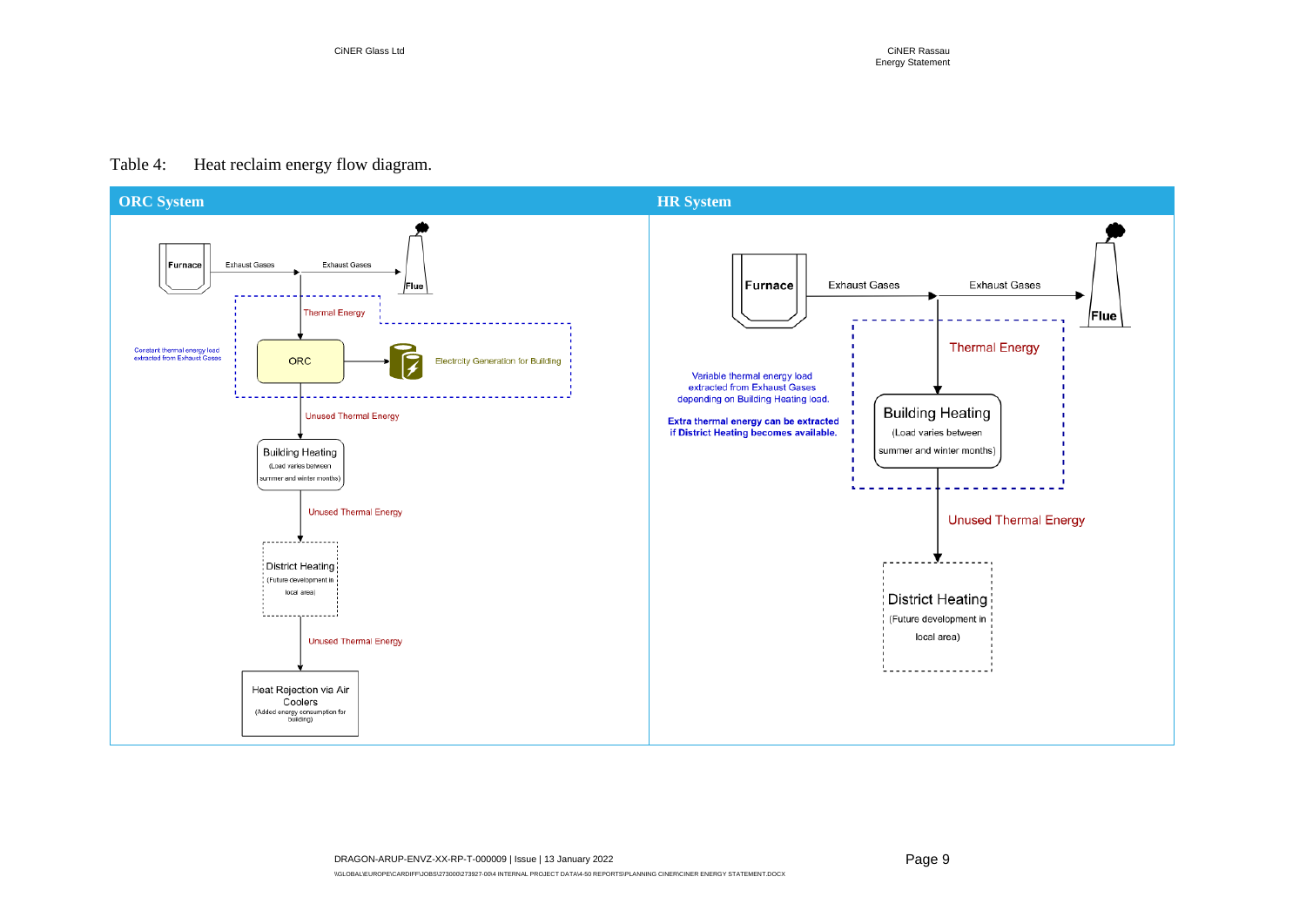#### Table 4: Heat reclaim energy flow diagram.

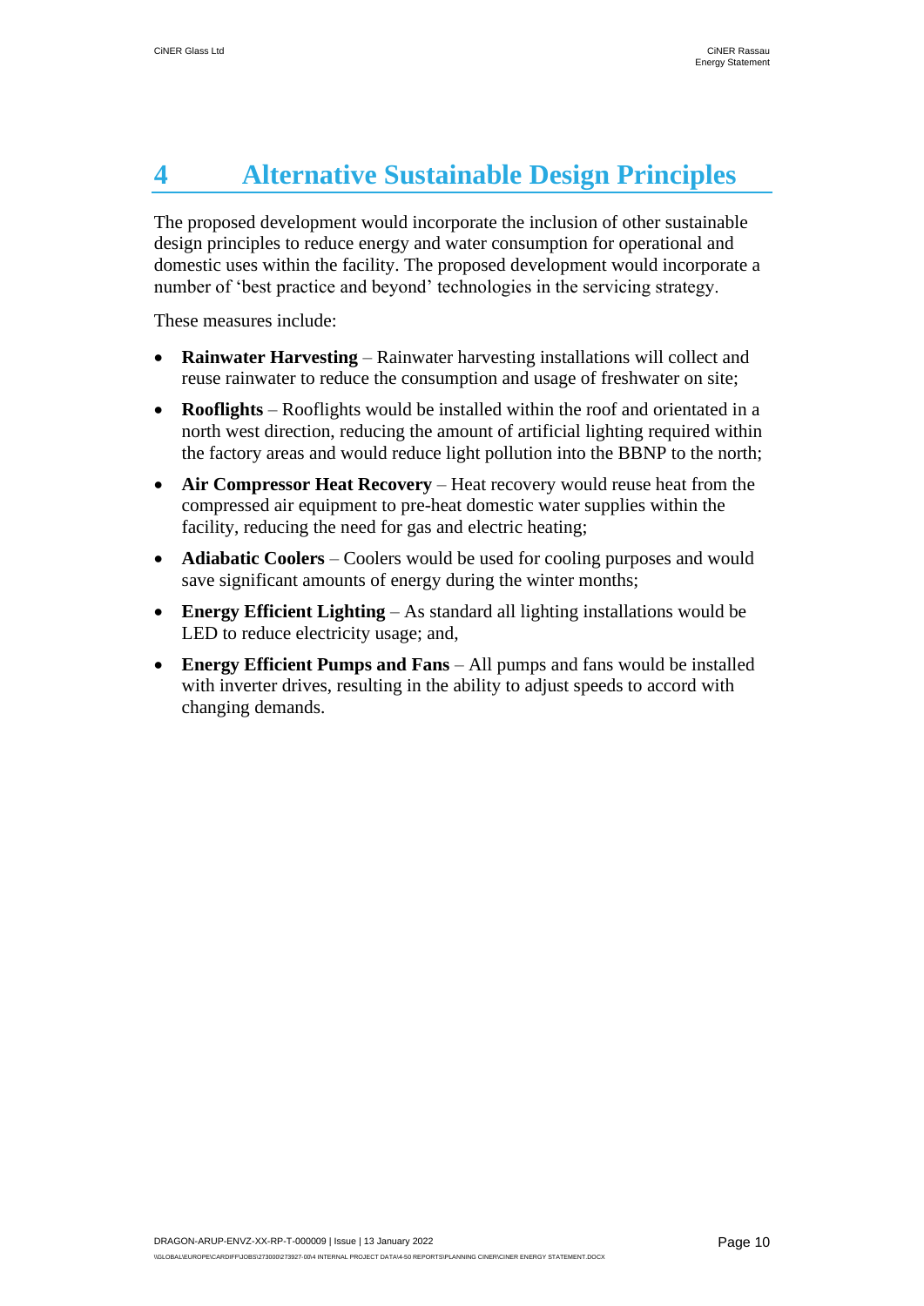# <span id="page-11-0"></span>**4 Alternative Sustainable Design Principles**

The proposed development would incorporate the inclusion of other sustainable design principles to reduce energy and water consumption for operational and domestic uses within the facility. The proposed development would incorporate a number of 'best practice and beyond' technologies in the servicing strategy.

These measures include:

- **Rainwater Harvesting** Rainwater harvesting installations will collect and reuse rainwater to reduce the consumption and usage of freshwater on site;
- **Rooflights** Rooflights would be installed within the roof and orientated in a north west direction, reducing the amount of artificial lighting required within the factory areas and would reduce light pollution into the BBNP to the north;
- **Air Compressor Heat Recovery** Heat recovery would reuse heat from the compressed air equipment to pre-heat domestic water supplies within the facility, reducing the need for gas and electric heating;
- **Adiabatic Coolers** Coolers would be used for cooling purposes and would save significant amounts of energy during the winter months;
- **Energy Efficient Lighting** As standard all lighting installations would be LED to reduce electricity usage; and,
- **Energy Efficient Pumps and Fans** All pumps and fans would be installed with inverter drives, resulting in the ability to adjust speeds to accord with changing demands.